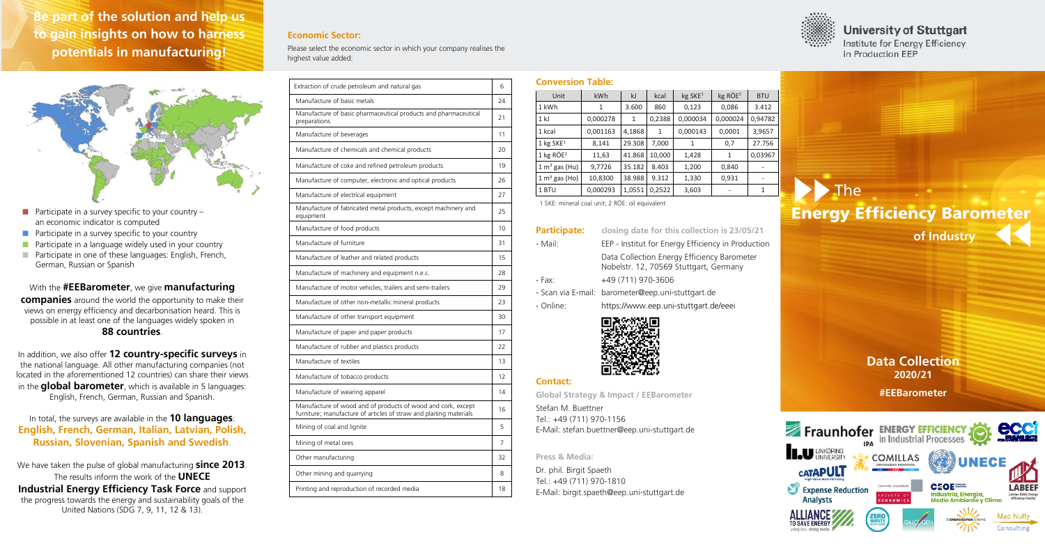- **Participate in a survey specific to your country** an economic indicator is computed
- $\blacksquare$  Participate in a survey specific to your country
- **Participate in a language widely used in your country**
- **Participate in one of these languages: English, French,** German, Russian or Spanish

With the **#EEBarometer**, we give **manufacturing companies** around the world the opportunity to make their views on energy efficiency and decarbonisation heard. This is possible in at least one of the languages widely spoken in **88 countries**.

In addition, we also offer **12 country-specific surveys** in the national language. All other manufacturing companies (not located in the aforementioned 12 countries) can share their views in the **global barometer**, which is available in 5 languages: English, French, German, Russian and Spanish.

In total, the surveys are available in the **10 languages**: **English, French, German, Italian, Latvian, Polish, Russian, Slovenian, Spanish and Swedish**.

We have taken the pulse of global manufacturing **since 2013**. The results inform the work of the **UNECE Industrial Energy Efficiency Task Force** and support the progress towards the energy and sustainability goals of the United Nations (SDG 7, 9, 11, 12 & 13).

### **Economic Sector:**

Please select the economic sector in which your company realises the highest value added:

**Scope of the Barometer: to gain insights on how to harness Be part of the solution and help us potentials in manufacturing!**



| Extraction of crude petroleum and natural gas                                                                                      | 6  |
|------------------------------------------------------------------------------------------------------------------------------------|----|
| Manufacture of basic metals                                                                                                        | 24 |
| Manufacture of basic pharmaceutical products and pharmaceutical<br>preparations                                                    | 21 |
| Manufacture of beverages                                                                                                           | 11 |
| Manufacture of chemicals and chemical products                                                                                     | 20 |
| Manufacture of coke and refined petroleum products                                                                                 | 19 |
| Manufacture of computer, electronic and optical products                                                                           | 26 |
| Manufacture of electrical equipment                                                                                                | 27 |
| Manufacture of fabricated metal products, except machinery and<br>equipment                                                        | 25 |
| Manufacture of food products                                                                                                       | 10 |
| Manufacture of furniture                                                                                                           | 31 |
| Manufacture of leather and related products                                                                                        | 15 |
| Manufacture of machinery and equipment n.e.c.                                                                                      | 28 |
| Manufacture of motor vehicles, trailers and semi-trailers                                                                          | 29 |
| Manufacture of other non-metallic mineral products                                                                                 | 23 |
| Manufacture of other transport equipment                                                                                           | 30 |
| Manufacture of paper and paper products                                                                                            | 17 |
| Manufacture of rubber and plastics products                                                                                        | 22 |
| Manufacture of textiles                                                                                                            | 13 |
| Manufacture of tobacco products                                                                                                    | 12 |
| Manufacture of wearing apparel                                                                                                     | 14 |
| Manufacture of wood and of products of wood and cork, except<br>furniture; manufacture of articles of straw and plaiting materials | 16 |
| Mining of coal and lignite                                                                                                         | 5  |
| Mining of metal ores                                                                                                               | 7  |
| Other manufacturing                                                                                                                | 32 |
| Other mining and quarrying                                                                                                         | 8  |
| Printing and reproduction of recorded media                                                                                        | 18 |
|                                                                                                                                    |    |

### **Conversion Table:**

1 SKE: mineral coal unit; 2 RÖE: oil equivalent

| <b>Participate:</b> | closing date for this collection is 23/05/21                                          |
|---------------------|---------------------------------------------------------------------------------------|
| - Mail:             | EEP - Institut for Energy Efficiency in Production                                    |
|                     | Data Collection Energy Efficiency Barometer<br>Nobelstr. 12, 70569 Stuttgart, Germany |
| - Fax:              | +49 (711) 970-3606                                                                    |
|                     | - Scan via E-mail: barometer@eep.uni-stuttgart.de                                     |
| - Online:           | https://www.eep.uni-stuttgart.de/eeei                                                 |
|                     |                                                                                       |



## **Contact:**

**Global Strategy & Impact / EEBarometer**

Stefan M. Buettner Tel.: +49 (711) 970-1156 E-Mail: stefan.buettner@eep.uni-stuttgart.de

#### **Press & Media:**

Dr. phil. Birgit Spaeth Tel.: +49 (711) 970-1810 E-Mail: birgit.spaeth@eep.uni-stuttgart.de

# **Data Collection 2020/21**

**#EEBarometer**





# **University of Stuttgart**

Institute for Energy Efficiency in Production EEP

| Unit                    | kWh      | kJ     | kcal         | kg SKE <sup>1</sup> | $kg$ RÖE <sup>2</sup> | <b>BTU</b> |
|-------------------------|----------|--------|--------------|---------------------|-----------------------|------------|
| 1 kWh                   | 1        | 3.600  | 860          | 0,123               | 0,086                 | 3.412      |
| 1 <sub>k</sub>          | 0,000278 | 1      | 0,2388       | 0,000034            | 0,000024              | 0,94782    |
| 1 kcal                  | 0,001163 | 4,1868 | $\mathbf{1}$ | 0,000143            | 0,0001                | 3,9657     |
| 1 kg $SKE1$             | 8,141    | 29.308 | 7,000        | 1                   | 0,7                   | 27.756     |
| $1$ kg RÖE <sup>2</sup> | 11,63    | 41.868 | 10,000       | 1,428               | $\mathbf{1}$          | 0,03967    |
| $1 m3$ gas (Hu)         | 9,7726   | 35.182 | 8.403        | 1,200               | 0,840                 |            |
| $1 m3$ gas (Ho)         | 10,8300  | 38.988 | 9.312        | 1,330               | 0,931                 |            |
| 1 BTU                   | 0,000293 | 1,0551 | 0,2522       | 3,603               |                       | 1          |

# **of Industry** The Energy Efficiency Barometer